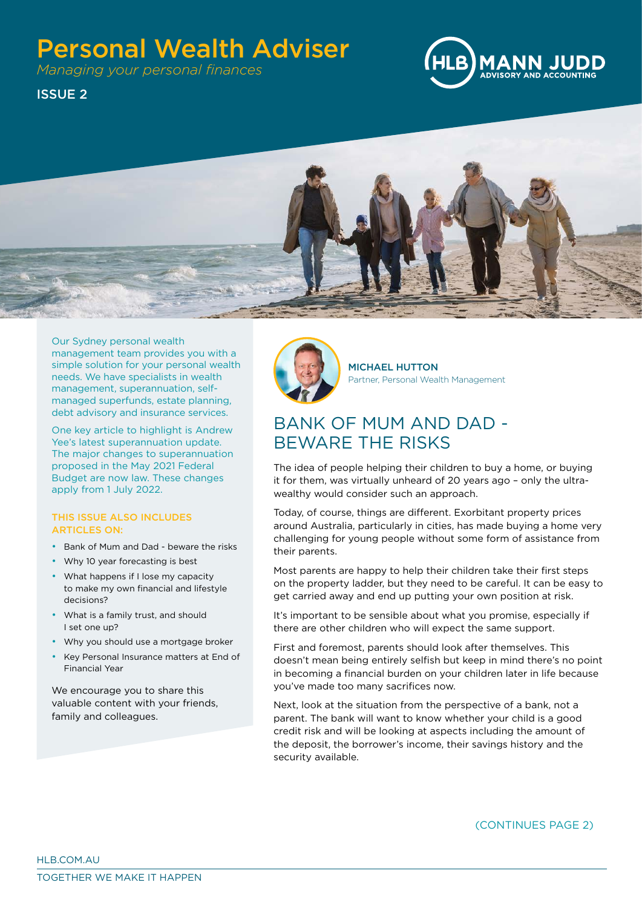# Personal Wealth Adviser

*Managing your personal finances*



ISSUE 2



Our Sydney personal wealth management team provides you with a simple solution for your personal wealth needs. We have specialists in wealth management, superannuation, selfmanaged superfunds, estate planning, debt advisory and insurance services.

One key article to highlight is Andrew Yee's latest superannuation update. The major changes to superannuation proposed in the May 2021 Federal Budget are now law. These changes apply from 1 July 2022.

#### THIS ISSUE ALSO INCLUDES ARTICLES ON:

- Bank of Mum and Dad beware the risks
- Why 10 year forecasting is best
- What happens if I lose my capacity to make my own financial and lifestyle decisions?
- What is a family trust, and should I set one up?
- Why you should use a mortgage broker
- Key Personal Insurance matters at End of Financial Year

We encourage you to share this valuable content with your friends, family and colleagues.



MICHAEL HUTTON Partner, Personal Wealth Management

# BANK OF MUM AND DAD - BEWARE THE RISKS

The idea of people helping their children to buy a home, or buying it for them, was virtually unheard of 20 years ago – only the ultrawealthy would consider such an approach.

Today, of course, things are different. Exorbitant property prices around Australia, particularly in cities, has made buying a home very challenging for young people without some form of assistance from their parents.

Most parents are happy to help their children take their first steps on the property ladder, but they need to be careful. It can be easy to get carried away and end up putting your own position at risk.

It's important to be sensible about what you promise, especially if there are other children who will expect the same support.

First and foremost, parents should look after themselves. This doesn't mean being entirely selfish but keep in mind there's no point in becoming a financial burden on your children later in life because you've made too many sacrifices now.

Next, look at the situation from the perspective of a bank, not a parent. The bank will want to know whether your child is a good credit risk and will be looking at aspects including the amount of the deposit, the borrower's income, their savings history and the security available.

(CONTINUES PAGE 2)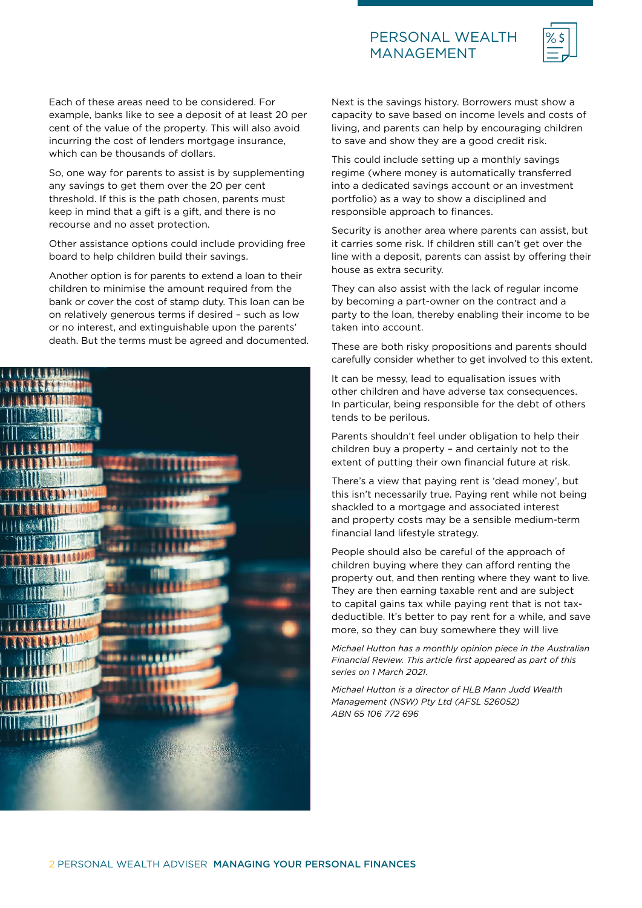### PERSONAL WEALTH MANAGEMENT



Each of these areas need to be considered. For example, banks like to see a deposit of at least 20 per cent of the value of the property. This will also avoid incurring the cost of lenders mortgage insurance, which can be thousands of dollars.

So, one way for parents to assist is by supplementing any savings to get them over the 20 per cent threshold. If this is the path chosen, parents must keep in mind that a gift is a gift, and there is no recourse and no asset protection.

Other assistance options could include providing free board to help children build their savings.

Another option is for parents to extend a loan to their children to minimise the amount required from the bank or cover the cost of stamp duty. This loan can be on relatively generous terms if desired – such as low or no interest, and extinguishable upon the parents' death. But the terms must be agreed and documented.



Next is the savings history. Borrowers must show a capacity to save based on income levels and costs of living, and parents can help by encouraging children to save and show they are a good credit risk.

This could include setting up a monthly savings regime (where money is automatically transferred into a dedicated savings account or an investment portfolio) as a way to show a disciplined and responsible approach to finances.

Security is another area where parents can assist, but it carries some risk. If children still can't get over the line with a deposit, parents can assist by offering their house as extra security.

They can also assist with the lack of regular income by becoming a part-owner on the contract and a party to the loan, thereby enabling their income to be taken into account.

These are both risky propositions and parents should carefully consider whether to get involved to this extent.

It can be messy, lead to equalisation issues with other children and have adverse tax consequences. In particular, being responsible for the debt of others tends to be perilous.

Parents shouldn't feel under obligation to help their children buy a property – and certainly not to the extent of putting their own financial future at risk.

There's a view that paying rent is 'dead money', but this isn't necessarily true. Paying rent while not being shackled to a mortgage and associated interest and property costs may be a sensible medium-term financial land lifestyle strategy.

People should also be careful of the approach of children buying where they can afford renting the property out, and then renting where they want to live. They are then earning taxable rent and are subject to capital gains tax while paying rent that is not taxdeductible. It's better to pay rent for a while, and save more, so they can buy somewhere they will live

*Michael Hutton has a monthly opinion piece in the Australian Financial Review. This article first appeared as part of this series on 1 March 2021.*

*Michael Hutton is a director of HLB Mann Judd Wealth Management (NSW) Pty Ltd (AFSL 526052) ABN 65 106 772 696*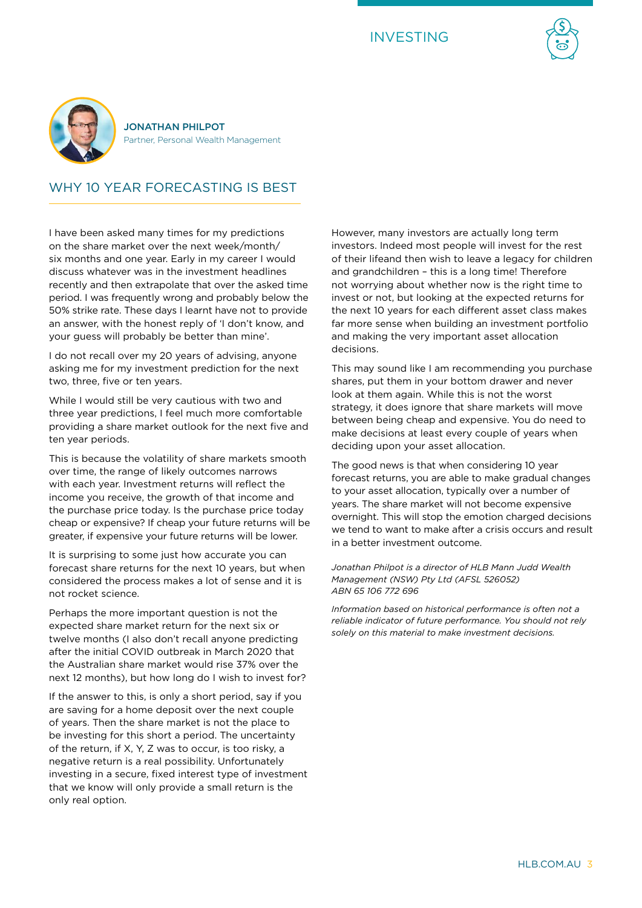





JONATHAN PHILPOT Partner, Personal Wealth Management

# WHY 10 YEAR FORECASTING IS BEST

I have been asked many times for my predictions on the share market over the next week/month/ six months and one year. Early in my career I would discuss whatever was in the investment headlines recently and then extrapolate that over the asked time period. I was frequently wrong and probably below the 50% strike rate. These days I learnt have not to provide an answer, with the honest reply of 'I don't know, and your guess will probably be better than mine'.

I do not recall over my 20 years of advising, anyone asking me for my investment prediction for the next two, three, five or ten years.

While I would still be very cautious with two and three year predictions, I feel much more comfortable providing a share market outlook for the next five and ten year periods.

This is because the volatility of share markets smooth over time, the range of likely outcomes narrows with each year. Investment returns will reflect the income you receive, the growth of that income and the purchase price today. Is the purchase price today cheap or expensive? If cheap your future returns will be greater, if expensive your future returns will be lower.

It is surprising to some just how accurate you can forecast share returns for the next 10 years, but when considered the process makes a lot of sense and it is not rocket science.

Perhaps the more important question is not the expected share market return for the next six or twelve months (I also don't recall anyone predicting after the initial COVID outbreak in March 2020 that the Australian share market would rise 37% over the next 12 months), but how long do I wish to invest for?

If the answer to this, is only a short period, say if you are saving for a home deposit over the next couple of years. Then the share market is not the place to be investing for this short a period. The uncertainty of the return, if X, Y, Z was to occur, is too risky, a negative return is a real possibility. Unfortunately investing in a secure, fixed interest type of investment that we know will only provide a small return is the only real option.

However, many investors are actually long term investors. Indeed most people will invest for the rest of their lifeand then wish to leave a legacy for children and grandchildren – this is a long time! Therefore not worrying about whether now is the right time to invest or not, but looking at the expected returns for the next 10 years for each different asset class makes far more sense when building an investment portfolio and making the very important asset allocation decisions.

This may sound like I am recommending you purchase shares, put them in your bottom drawer and never look at them again. While this is not the worst strategy, it does ignore that share markets will move between being cheap and expensive. You do need to make decisions at least every couple of years when deciding upon your asset allocation.

The good news is that when considering 10 year forecast returns, you are able to make gradual changes to your asset allocation, typically over a number of years. The share market will not become expensive overnight. This will stop the emotion charged decisions we tend to want to make after a crisis occurs and result in a better investment outcome.

*Jonathan Philpot is a director of HLB Mann Judd Wealth Management (NSW) Pty Ltd (AFSL 526052) ABN 65 106 772 696* 

*Information based on historical performance is often not a reliable indicator of future performance. You should not rely solely on this material to make investment decisions.*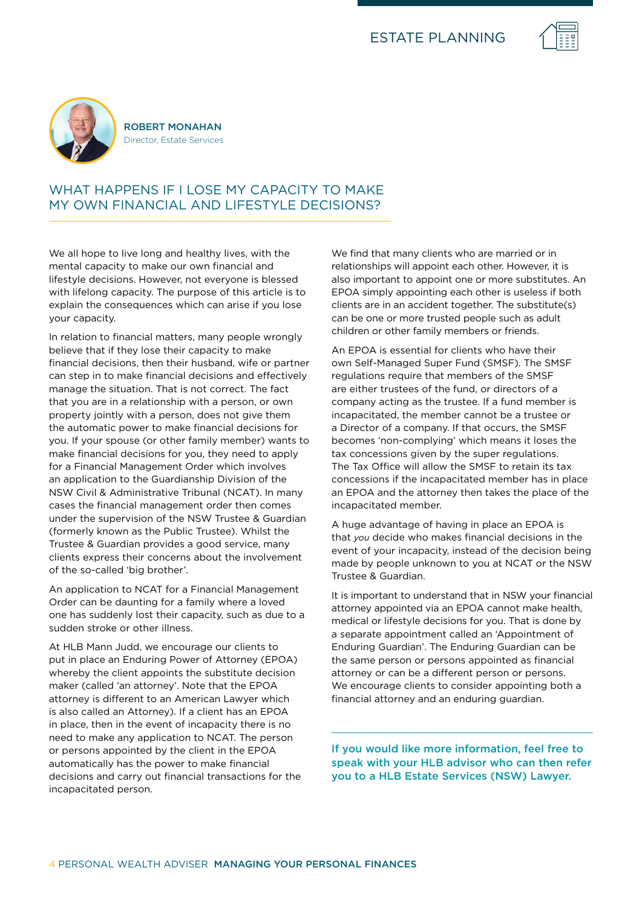



ROBERT MONAHAN Director, Estate Services

## WHAT HAPPENS IF I LOSE MY CAPACITY TO MAKE MY OWN FINANCIAL AND LIFESTYLE DECISIONS?

We all hope to live long and healthy lives, with the mental capacity to make our own financial and lifestyle decisions. However, not everyone is blessed with lifelong capacity. The purpose of this article is to explain the consequences which can arise if you lose your capacity.

In relation to financial matters, many people wrongly believe that if they lose their capacity to make financial decisions, then their husband, wife or partner can step in to make financial decisions and effectively manage the situation. That is not correct. The fact that you are in a relationship with a person, or own property jointly with a person, does not give them the automatic power to make financial decisions for you. If your spouse (or other family member) wants to make financial decisions for you, they need to apply for a Financial Management Order which involves an application to the Guardianship Division of the NSW Civil & Administrative Tribunal (NCAT). In many cases the financial management order then comes under the supervision of the NSW Trustee & Guardian (formerly known as the Public Trustee). Whilst the Trustee & Guardian provides a good service, many clients express their concerns about the involvement of the so-called 'big brother'.

An application to NCAT for a Financial Management Order can be daunting for a family where a loved one has suddenly lost their capacity, such as due to a sudden stroke or other illness.

At HLB Mann Judd, we encourage our clients to put in place an Enduring Power of Attorney (EPOA) whereby the client appoints the substitute decision maker (called 'an attorney'. Note that the EPOA attorney is different to an American Lawyer which is also called an Attorney). If a client has an EPOA in place, then in the event of incapacity there is no need to make any application to NCAT. The person or persons appointed by the client in the EPOA automatically has the power to make financial decisions and carry out financial transactions for the incapacitated person.

We find that many clients who are married or in relationships will appoint each other. However, it is also important to appoint one or more substitutes. An EPOA simply appointing each other is useless if both clients are in an accident together. The substitute(s) can be one or more trusted people such as adult children or other family members or friends.

An EPOA is essential for clients who have their own Self-Managed Super Fund (SMSF). The SMSF regulations require that members of the SMSF are either trustees of the fund, or directors of a company acting as the trustee. If a fund member is incapacitated, the member cannot be a trustee or a Director of a company. If that occurs, the SMSF becomes 'non-complying' which means it loses the tax concessions given by the super regulations. The Tax Office will allow the SMSF to retain its tax concessions if the incapacitated member has in place an EPOA and the attorney then takes the place of the incapacitated member.

A huge advantage of having in place an EPOA is that *you* decide who makes financial decisions in the event of your incapacity, instead of the decision being made by people unknown to you at NCAT or the NSW Trustee & Guardian.

It is important to understand that in NSW your financial attorney appointed via an EPOA cannot make health, medical or lifestyle decisions for you. That is done by a separate appointment called an 'Appointment of Enduring Guardian'. The Enduring Guardian can be the same person or persons appointed as financial attorney or can be a different person or persons. We encourage clients to consider appointing both a financial attorney and an enduring guardian.

If you would like more information, feel free to speak with your HLB advisor who can then refer you to a HLB Estate Services (NSW) Lawyer.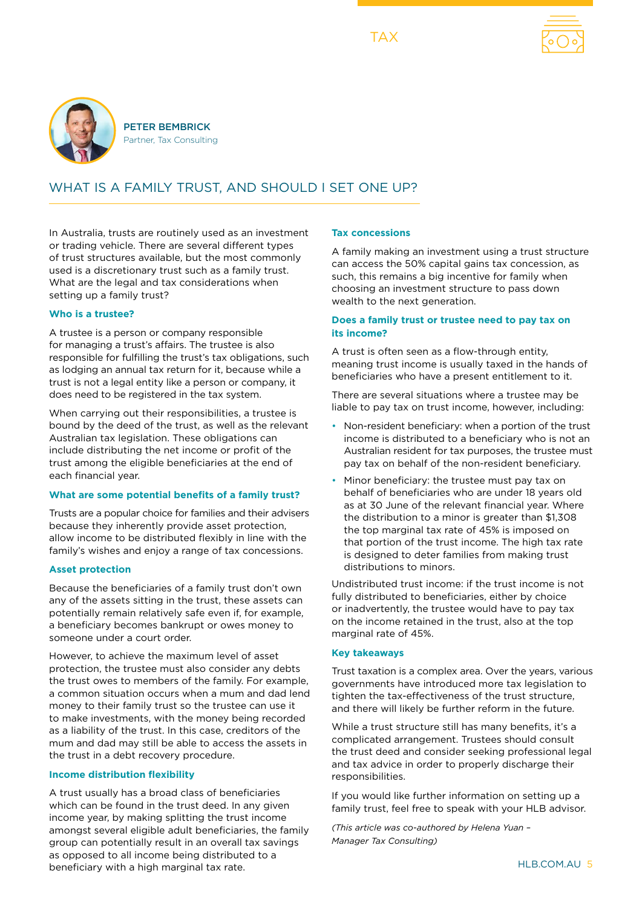TAX





PETER BEMBRICK Partner, Tax Consulting

# WHAT IS A FAMILY TRUST, AND SHOULD I SET ONE UP?

In Australia, trusts are routinely used as an investment or trading vehicle. There are several different types of trust structures available, but the most commonly used is a discretionary trust such as a family trust. What are the legal and tax considerations when setting up a family trust?

#### **Who is a trustee?**

A trustee is a person or company responsible for managing a trust's affairs. The trustee is also responsible for fulfilling the trust's tax obligations, such as lodging an annual tax return for it, because while a trust is not a legal entity like a person or company, it does need to be registered in the tax system.

When carrying out their responsibilities, a trustee is bound by the deed of the trust, as well as the relevant Australian tax legislation. These obligations can include distributing the net income or profit of the trust among the eligible beneficiaries at the end of each financial year.

#### **What are some potential benefits of a family trust?**

Trusts are a popular choice for families and their advisers because they inherently provide asset protection, allow income to be distributed flexibly in line with the family's wishes and enjoy a range of tax concessions.

#### **Asset protection**

Because the beneficiaries of a family trust don't own any of the assets sitting in the trust, these assets can potentially remain relatively safe even if, for example, a beneficiary becomes bankrupt or owes money to someone under a court order.

However, to achieve the maximum level of asset protection, the trustee must also consider any debts the trust owes to members of the family. For example, a common situation occurs when a mum and dad lend money to their family trust so the trustee can use it to make investments, with the money being recorded as a liability of the trust. In this case, creditors of the mum and dad may still be able to access the assets in the trust in a debt recovery procedure.

#### **Income distribution flexibility**

A trust usually has a broad class of beneficiaries which can be found in the trust deed. In any given income year, by making splitting the trust income amongst several eligible adult beneficiaries, the family group can potentially result in an overall tax savings as opposed to all income being distributed to a beneficiary with a high marginal tax rate.

#### **Tax concessions**

A family making an investment using a trust structure can access the 50% capital gains tax concession, as such, this remains a big incentive for family when choosing an investment structure to pass down wealth to the next generation.

#### **Does a family trust or trustee need to pay tax on its income?**

A trust is often seen as a flow-through entity, meaning trust income is usually taxed in the hands of beneficiaries who have a present entitlement to it.

There are several situations where a trustee may be liable to pay tax on trust income, however, including:

- Non-resident beneficiary: when a portion of the trust income is distributed to a beneficiary who is not an Australian resident for tax purposes, the trustee must pay tax on behalf of the non-resident beneficiary.
- Minor beneficiary: the trustee must pay tax on behalf of beneficiaries who are under 18 years old as at 30 June of the relevant financial year. Where the distribution to a minor is greater than \$1,308 the top marginal tax rate of 45% is imposed on that portion of the trust income. The high tax rate is designed to deter families from making trust distributions to minors.

Undistributed trust income: if the trust income is not fully distributed to beneficiaries, either by choice or inadvertently, the trustee would have to pay tax on the income retained in the trust, also at the top marginal rate of 45%.

#### **Key takeaways**

Trust taxation is a complex area. Over the years, various governments have introduced more tax legislation to tighten the tax-effectiveness of the trust structure, and there will likely be further reform in the future.

While a trust structure still has many benefits, it's a complicated arrangement. Trustees should consult the trust deed and consider seeking professional legal and tax advice in order to properly discharge their responsibilities.

If you would like further information on setting up a family trust, feel free to speak with your HLB advisor.

*(This article was co-authored by Helena Yuan – Manager Tax Consulting)*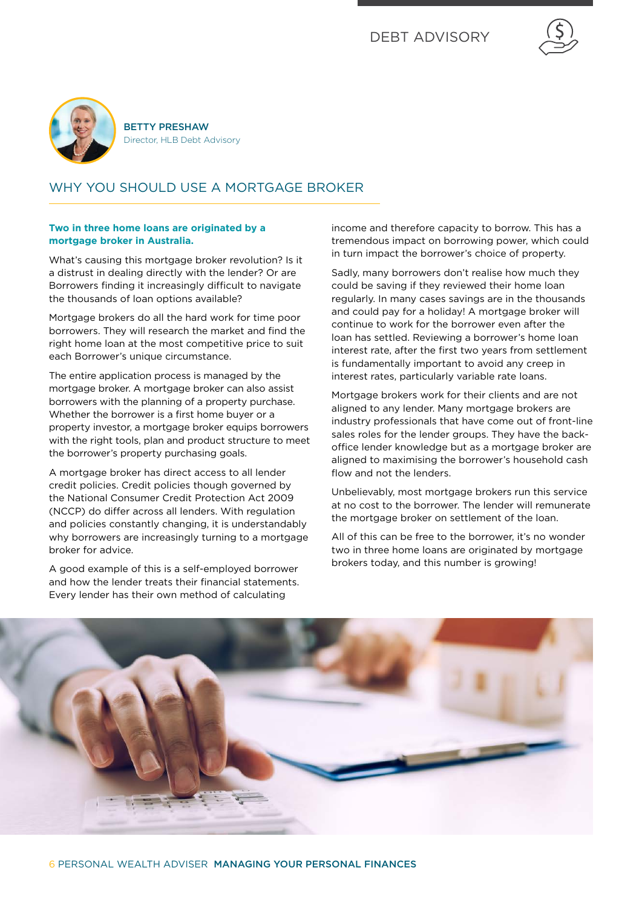



BETTY PRESHAW Director, HLB Debt Advisory

# WHY YOU SHOULD USE A MORTGAGE BROKER

#### **Two in three home loans are originated by a mortgage broker in Australia.**

What's causing this mortgage broker revolution? Is it a distrust in dealing directly with the lender? Or are Borrowers finding it increasingly difficult to navigate the thousands of loan options available?

Mortgage brokers do all the hard work for time poor borrowers. They will research the market and find the right home loan at the most competitive price to suit each Borrower's unique circumstance.

The entire application process is managed by the mortgage broker. A mortgage broker can also assist borrowers with the planning of a property purchase. Whether the borrower is a first home buyer or a property investor, a mortgage broker equips borrowers with the right tools, plan and product structure to meet the borrower's property purchasing goals.

A mortgage broker has direct access to all lender credit policies. Credit policies though governed by the National Consumer Credit Protection Act 2009 (NCCP) do differ across all lenders. With regulation and policies constantly changing, it is understandably why borrowers are increasingly turning to a mortgage broker for advice.

A good example of this is a self-employed borrower and how the lender treats their financial statements. Every lender has their own method of calculating

income and therefore capacity to borrow. This has a tremendous impact on borrowing power, which could in turn impact the borrower's choice of property.

Sadly, many borrowers don't realise how much they could be saving if they reviewed their home loan regularly. In many cases savings are in the thousands and could pay for a holiday! A mortgage broker will continue to work for the borrower even after the loan has settled. Reviewing a borrower's home loan interest rate, after the first two years from settlement is fundamentally important to avoid any creep in interest rates, particularly variable rate loans.

Mortgage brokers work for their clients and are not aligned to any lender. Many mortgage brokers are industry professionals that have come out of front-line sales roles for the lender groups. They have the backoffice lender knowledge but as a mortgage broker are aligned to maximising the borrower's household cash flow and not the lenders.

Unbelievably, most mortgage brokers run this service at no cost to the borrower. The lender will remunerate the mortgage broker on settlement of the loan.

All of this can be free to the borrower, it's no wonder two in three home loans are originated by mortgage brokers today, and this number is growing!

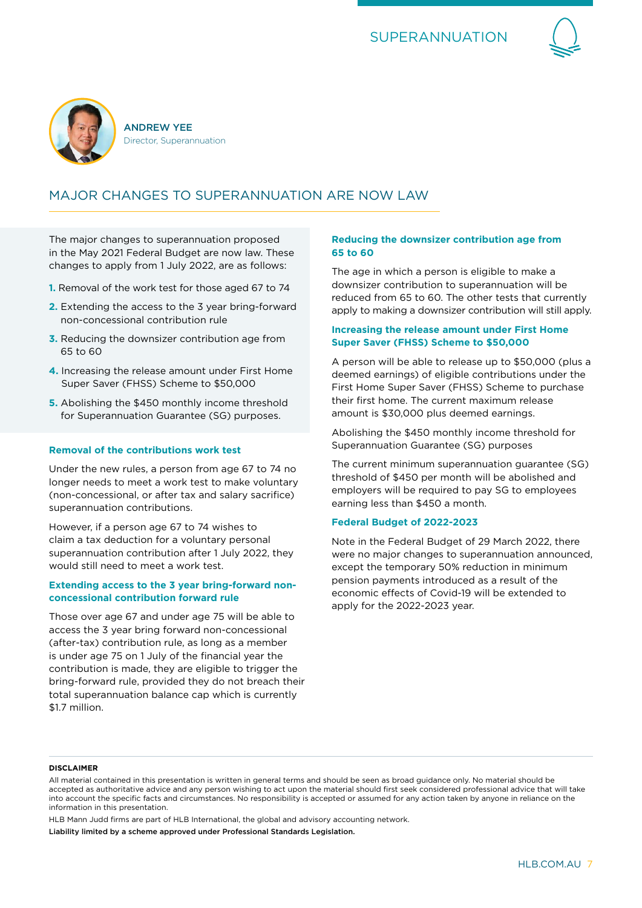



# MAJOR CHANGES TO SUPERANNUATION ARE NOW LAW

The major changes to superannuation proposed in the May 2021 Federal Budget are now law. These changes to apply from 1 July 2022, are as follows:

- **1.** Removal of the work test for those aged 67 to 74
- **2.** Extending the access to the 3 year bring-forward non-concessional contribution rule
- **3.** Reducing the downsizer contribution age from 65 to 60
- **4.** Increasing the release amount under First Home Super Saver (FHSS) Scheme to \$50,000
- **5.** Abolishing the \$450 monthly income threshold for Superannuation Guarantee (SG) purposes.

#### **Removal of the contributions work test**

Under the new rules, a person from age 67 to 74 no longer needs to meet a work test to make voluntary (non-concessional, or after tax and salary sacrifice) superannuation contributions.

However, if a person age 67 to 74 wishes to claim a tax deduction for a voluntary personal superannuation contribution after 1 July 2022, they would still need to meet a work test.

#### **Extending access to the 3 year bring-forward nonconcessional contribution forward rule**

Those over age 67 and under age 75 will be able to access the 3 year bring forward non-concessional (after-tax) contribution rule, as long as a member is under age 75 on 1 July of the financial year the contribution is made, they are eligible to trigger the bring-forward rule, provided they do not breach their total superannuation balance cap which is currently \$1.7 million.

#### **Reducing the downsizer contribution age from 65 to 60**

The age in which a person is eligible to make a downsizer contribution to superannuation will be reduced from 65 to 60. The other tests that currently apply to making a downsizer contribution will still apply.

#### **Increasing the release amount under First Home Super Saver (FHSS) Scheme to \$50,000**

A person will be able to release up to \$50,000 (plus a deemed earnings) of eligible contributions under the First Home Super Saver (FHSS) Scheme to purchase their first home. The current maximum release amount is \$30,000 plus deemed earnings.

Abolishing the \$450 monthly income threshold for Superannuation Guarantee (SG) purposes

The current minimum superannuation guarantee (SG) threshold of \$450 per month will be abolished and employers will be required to pay SG to employees earning less than \$450 a month.

#### **Federal Budget of 2022-2023**

Note in the Federal Budget of 29 March 2022, there were no major changes to superannuation announced, except the temporary 50% reduction in minimum pension payments introduced as a result of the economic effects of Covid-19 will be extended to apply for the 2022-2023 year.

#### **DISCLAIMER**

HLB Mann Judd firms are part of HLB International, the global and advisory accounting network.

Liability limited by a scheme approved under Professional Standards Legislation.

All material contained in this presentation is written in general terms and should be seen as broad guidance only. No material should be accepted as authoritative advice and any person wishing to act upon the material should first seek considered professional advice that will take into account the specific facts and circumstances. No responsibility is accepted or assumed for any action taken by anyone in reliance on the information in this presentation.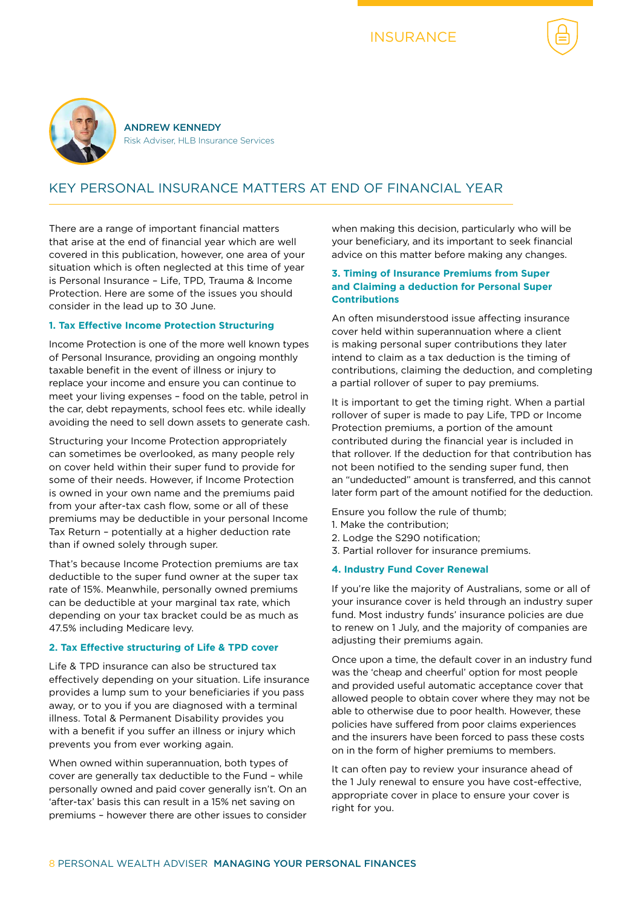

# KEY PERSONAL INSURANCE MATTERS AT END OF FINANCIAL YEAR

There are a range of important financial matters that arise at the end of financial year which are well covered in this publication, however, one area of your situation which is often neglected at this time of year is Personal Insurance – Life, TPD, Trauma & Income Protection. Here are some of the issues you should consider in the lead up to 30 June.

#### **1. Tax Effective Income Protection Structuring**

Income Protection is one of the more well known types of Personal Insurance, providing an ongoing monthly taxable benefit in the event of illness or injury to replace your income and ensure you can continue to meet your living expenses – food on the table, petrol in the car, debt repayments, school fees etc. while ideally avoiding the need to sell down assets to generate cash.

Structuring your Income Protection appropriately can sometimes be overlooked, as many people rely on cover held within their super fund to provide for some of their needs. However, if Income Protection is owned in your own name and the premiums paid from your after-tax cash flow, some or all of these premiums may be deductible in your personal Income Tax Return – potentially at a higher deduction rate than if owned solely through super.

That's because Income Protection premiums are tax deductible to the super fund owner at the super tax rate of 15%. Meanwhile, personally owned premiums can be deductible at your marginal tax rate, which depending on your tax bracket could be as much as 47.5% including Medicare levy.

#### **2. Tax Effective structuring of Life & TPD cover**

Life & TPD insurance can also be structured tax effectively depending on your situation. Life insurance provides a lump sum to your beneficiaries if you pass away, or to you if you are diagnosed with a terminal illness. Total & Permanent Disability provides you with a benefit if you suffer an illness or injury which prevents you from ever working again.

When owned within superannuation, both types of cover are generally tax deductible to the Fund – while personally owned and paid cover generally isn't. On an 'after-tax' basis this can result in a 15% net saving on premiums – however there are other issues to consider when making this decision, particularly who will be your beneficiary, and its important to seek financial advice on this matter before making any changes.

#### **3. Timing of Insurance Premiums from Super and Claiming a deduction for Personal Super Contributions**

An often misunderstood issue affecting insurance cover held within superannuation where a client is making personal super contributions they later intend to claim as a tax deduction is the timing of contributions, claiming the deduction, and completing a partial rollover of super to pay premiums.

It is important to get the timing right. When a partial rollover of super is made to pay Life, TPD or Income Protection premiums, a portion of the amount contributed during the financial year is included in that rollover. If the deduction for that contribution has not been notified to the sending super fund, then an "undeducted" amount is transferred, and this cannot later form part of the amount notified for the deduction.

Ensure you follow the rule of thumb;

- 1. Make the contribution;
- 2. Lodge the S290 notification;
- 3. Partial rollover for insurance premiums.

#### **4. Industry Fund Cover Renewal**

If you're like the majority of Australians, some or all of your insurance cover is held through an industry super fund. Most industry funds' insurance policies are due to renew on 1 July, and the majority of companies are adjusting their premiums again.

Once upon a time, the default cover in an industry fund was the 'cheap and cheerful' option for most people and provided useful automatic acceptance cover that allowed people to obtain cover where they may not be able to otherwise due to poor health. However, these policies have suffered from poor claims experiences and the insurers have been forced to pass these costs on in the form of higher premiums to members.

It can often pay to review your insurance ahead of the 1 July renewal to ensure you have cost-effective, appropriate cover in place to ensure your cover is right for you.